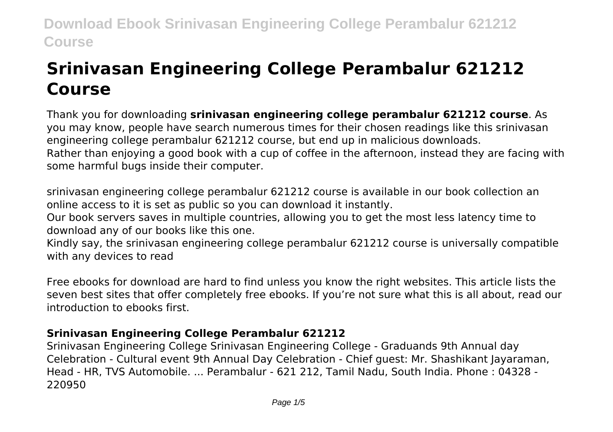# **Srinivasan Engineering College Perambalur 621212 Course**

Thank you for downloading **srinivasan engineering college perambalur 621212 course**. As you may know, people have search numerous times for their chosen readings like this srinivasan engineering college perambalur 621212 course, but end up in malicious downloads. Rather than enjoying a good book with a cup of coffee in the afternoon, instead they are facing with some harmful bugs inside their computer.

srinivasan engineering college perambalur 621212 course is available in our book collection an online access to it is set as public so you can download it instantly.

Our book servers saves in multiple countries, allowing you to get the most less latency time to download any of our books like this one.

Kindly say, the srinivasan engineering college perambalur 621212 course is universally compatible with any devices to read

Free ebooks for download are hard to find unless you know the right websites. This article lists the seven best sites that offer completely free ebooks. If you're not sure what this is all about, read our introduction to ebooks first.

# **Srinivasan Engineering College Perambalur 621212**

Srinivasan Engineering College Srinivasan Engineering College - Graduands 9th Annual day Celebration - Cultural event 9th Annual Day Celebration - Chief guest: Mr. Shashikant Jayaraman, Head - HR, TVS Automobile. ... Perambalur - 621 212, Tamil Nadu, South India. Phone : 04328 - 220950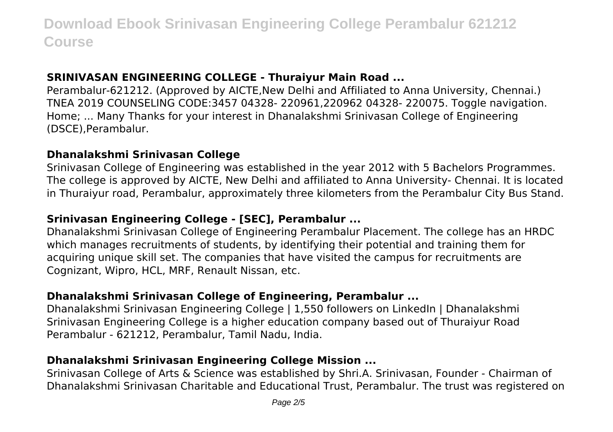## **SRINIVASAN ENGINEERING COLLEGE - Thuraiyur Main Road ...**

Perambalur-621212. (Approved by AICTE,New Delhi and Affiliated to Anna University, Chennai.) TNEA 2019 COUNSELING CODE:3457 04328- 220961,220962 04328- 220075. Toggle navigation. Home; ... Many Thanks for your interest in Dhanalakshmi Srinivasan College of Engineering (DSCE),Perambalur.

## **Dhanalakshmi Srinivasan College**

Srinivasan College of Engineering was established in the year 2012 with 5 Bachelors Programmes. The college is approved by AICTE, New Delhi and affiliated to Anna University- Chennai. It is located in Thuraiyur road, Perambalur, approximately three kilometers from the Perambalur City Bus Stand.

## **Srinivasan Engineering College - [SEC], Perambalur ...**

Dhanalakshmi Srinivasan College of Engineering Perambalur Placement. The college has an HRDC which manages recruitments of students, by identifying their potential and training them for acquiring unique skill set. The companies that have visited the campus for recruitments are Cognizant, Wipro, HCL, MRF, Renault Nissan, etc.

# **Dhanalakshmi Srinivasan College of Engineering, Perambalur ...**

Dhanalakshmi Srinivasan Engineering College | 1,550 followers on LinkedIn | Dhanalakshmi Srinivasan Engineering College is a higher education company based out of Thuraiyur Road Perambalur - 621212, Perambalur, Tamil Nadu, India.

# **Dhanalakshmi Srinivasan Engineering College Mission ...**

Srinivasan College of Arts & Science was established by Shri.A. Srinivasan, Founder - Chairman of Dhanalakshmi Srinivasan Charitable and Educational Trust, Perambalur. The trust was registered on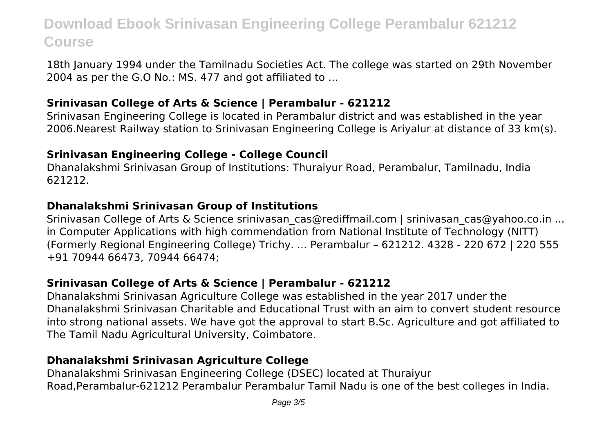18th January 1994 under the Tamilnadu Societies Act. The college was started on 29th November 2004 as per the G.O No.: MS. 477 and got affiliated to ...

### **Srinivasan College of Arts & Science | Perambalur - 621212**

Srinivasan Engineering College is located in Perambalur district and was established in the year 2006.Nearest Railway station to Srinivasan Engineering College is Ariyalur at distance of 33 km(s).

#### **Srinivasan Engineering College - College Council**

Dhanalakshmi Srinivasan Group of Institutions: Thuraiyur Road, Perambalur, Tamilnadu, India 621212.

## **Dhanalakshmi Srinivasan Group of Institutions**

Srinivasan College of Arts & Science srinivasan cas@rediffmail.com | srinivasan cas@yahoo.co.in ... in Computer Applications with high commendation from National Institute of Technology (NITT) (Formerly Regional Engineering College) Trichy. ... Perambalur – 621212. 4328 - 220 672 | 220 555 +91 70944 66473, 70944 66474;

# **Srinivasan College of Arts & Science | Perambalur - 621212**

Dhanalakshmi Srinivasan Agriculture College was established in the year 2017 under the Dhanalakshmi Srinivasan Charitable and Educational Trust with an aim to convert student resource into strong national assets. We have got the approval to start B.Sc. Agriculture and got affiliated to The Tamil Nadu Agricultural University, Coimbatore.

## **Dhanalakshmi Srinivasan Agriculture College**

Dhanalakshmi Srinivasan Engineering College (DSEC) located at Thuraiyur Road,Perambalur-621212 Perambalur Perambalur Tamil Nadu is one of the best colleges in India.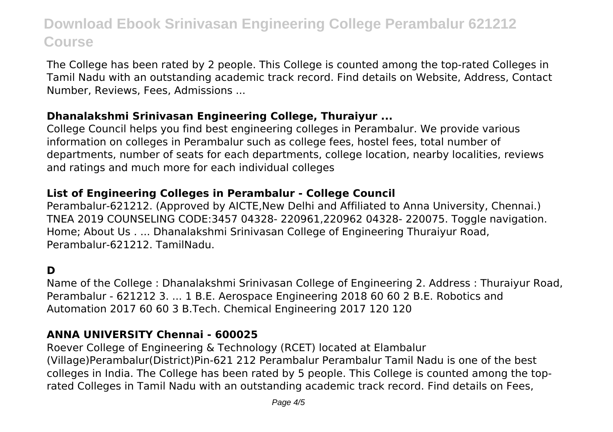The College has been rated by 2 people. This College is counted among the top-rated Colleges in Tamil Nadu with an outstanding academic track record. Find details on Website, Address, Contact Number, Reviews, Fees, Admissions ...

#### **Dhanalakshmi Srinivasan Engineering College, Thuraiyur ...**

College Council helps you find best engineering colleges in Perambalur. We provide various information on colleges in Perambalur such as college fees, hostel fees, total number of departments, number of seats for each departments, college location, nearby localities, reviews and ratings and much more for each individual colleges

# **List of Engineering Colleges in Perambalur - College Council**

Perambalur-621212. (Approved by AICTE,New Delhi and Affiliated to Anna University, Chennai.) TNEA 2019 COUNSELING CODE:3457 04328- 220961,220962 04328- 220075. Toggle navigation. Home; About Us . ... Dhanalakshmi Srinivasan College of Engineering Thuraiyur Road, Perambalur-621212. TamilNadu.

# **D**

Name of the College : Dhanalakshmi Srinivasan College of Engineering 2. Address : Thuraiyur Road, Perambalur - 621212 3. ... 1 B.E. Aerospace Engineering 2018 60 60 2 B.E. Robotics and Automation 2017 60 60 3 B.Tech. Chemical Engineering 2017 120 120

## **ANNA UNIVERSITY Chennai - 600025**

Roever College of Engineering & Technology (RCET) located at Elambalur (Village)Perambalur(District)Pin-621 212 Perambalur Perambalur Tamil Nadu is one of the best colleges in India. The College has been rated by 5 people. This College is counted among the toprated Colleges in Tamil Nadu with an outstanding academic track record. Find details on Fees,